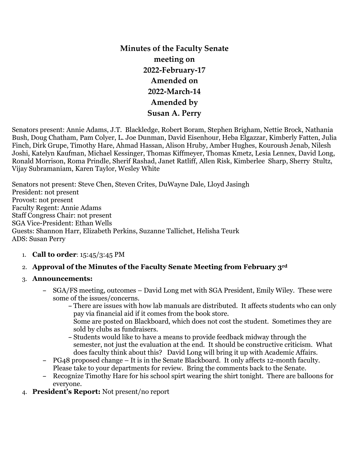# **Minutes of the Faculty Senate meeting on 2022-February-17 Amended on 2022-March-14 Amended by Susan A. Perry**

Senators present: Annie Adams, J.T. Blackledge, Robert Boram, Stephen Brigham, Nettie Brock, Nathania Bush, Doug Chatham, Pam Colyer, L. Joe Dunman, David Eisenhour, Heba Elgazzar, Kimberly Fatten, Julia Finch, Dirk Grupe, Timothy Hare, Ahmad Hassan, Alison Hruby, Amber Hughes, Kouroush Jenab, Nilesh Joshi, Katelyn Kaufman, Michael Kessinger, Thomas Kiffmeyer, Thomas Kmetz, Lesia Lennex, David Long, Ronald Morrison, Roma Prindle, Sherif Rashad, Janet Ratliff, Allen Risk, Kimberlee Sharp, Sherry Stultz, Vijay Subramaniam, Karen Taylor, Wesley White

Senators not present: Steve Chen, Steven Crites, DuWayne Dale, Lloyd Jasingh President: not present Provost: not present Faculty Regent: Annie Adams Staff Congress Chair: not present SGA Vice-President: Ethan Wells Guests: Shannon Harr, Elizabeth Perkins, Suzanne Tallichet, Helisha Teurk ADS: Susan Perry

## 1. **Call to order**: 15:45/3:45 PM

## 2. **Approval of the Minutes of the Faculty Senate Meeting from February 3rd**

#### 3. **Announcements:**

- **–** SGA/FS meeting, outcomes David Long met with SGA President, Emily Wiley. These were some of the issues/concerns.
	- **–** There are issues with how lab manuals are distributed. It affects students who can only pay via financial aid if it comes from the book store.
		- Some are posted on Blackboard, which does not cost the student. Sometimes they are sold by clubs as fundraisers.
	- **–** Students would like to have a means to provide feedback midway through the semester, not just the evaluation at the end. It should be constructive criticism. What does faculty think about this? David Long will bring it up with Academic Affairs.
- **–** PG48 proposed change It is in the Senate Blackboard. It only affects 12-month faculty. Please take to your departments for review. Bring the comments back to the Senate.
- **–** Recognize Timothy Hare for his school spirt wearing the shirt tonight. There are balloons for everyone.
- 4. **President's Report:** Not present/no report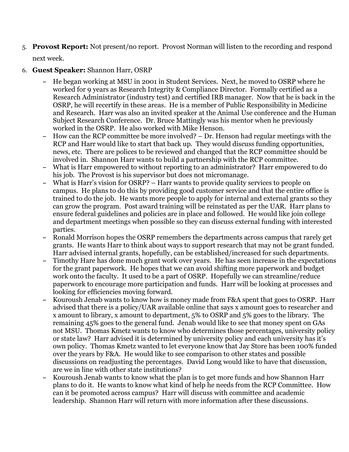5. **Provost Report:** Not present/no report. Provost Norman will listen to the recording and respond

next week.

#### 6. **Guest Speaker:** Shannon Harr, OSRP

- **–** He began working at MSU in 2001 in Student Services. Next, he moved to OSRP where he worked for 9 years as Research Integrity & Compliance Director. Formally certified as a Research Administrator (industry test) and certified IRB manager. Now that he is back in the OSRP, he will recertify in these areas. He is a member of Public Responsibility in Medicine and Research. Harr was also an invited speaker at the Animal Use conference and the Human Subject Research Conference. Dr. Bruce Mattingly was his mentor when he previously worked in the OSRP. He also worked with Mike Henson.
- **–** How can the RCP committee be more involved? Dr. Henson had regular meetings with the RCP and Harr would like to start that back up. They would discuss funding opportunities, news, etc. There are polices to be reviewed and changed that the RCP committee should be involved in. Shannon Harr wants to build a partnership with the RCP committee.
- **–** What is Harr empowered to without reporting to an administrator? Harr empowered to do his job. The Provost is his supervisor but does not micromanage.
- **–** What is Harr's vision for OSRP? Harr wants to provide quality services to people on campus. He plans to do this by providing good customer service and that the entire office is trained to do the job. He wants more people to apply for internal and external grants so they can grow the program. Post award training will be reinstated as per the UAR. Harr plans to ensure federal guidelines and policies are in place and followed. He would like join college and department meetings when possible so they can discuss external funding with interested parties.
- **–** Ronald Morrison hopes the OSRP remembers the departments across campus that rarely get grants. He wants Harr to think about ways to support research that may not be grant funded. Harr advised internal grants, hopefully, can be established/increased for such departments.
- **–** Timothy Hare has done much grant work over years. He has seen increase in the expectations for the grant paperwork. He hopes that we can avoid shifting more paperwork and budget work onto the faculty. It used to be a part of OSRP. Hopefully we can streamline/reduce paperwork to encourage more participation and funds. Harr will be looking at processes and looking for efficiencies moving forward.
- **–** Kouroush Jenab wants to know how is money made from F&A spent that goes to OSRP. Harr advised that there is a policy/UAR available online that says x amount goes to researcher and x amount to library, x amount to department, 5% to OSRP and 5% goes to the library. The remaining 45% goes to the general fund. Jenab would like to see that money spent on GAs not MSU. Thomas Kmetz wants to know who determines those percentages, university policy or state law? Harr advised it is determined by university policy and each university has it's own policy. Thomas Kmetz wanted to let everyone know that Jay Store has been 100% funded over the years by F&A. He would like to see comparison to other states and possible discussions on readjusting the percentages. David Long would like to have that discussion, are we in line with other state institutions?
- **–** Kouroush Jenab wants to know what the plan is to get more funds and how Shannon Harr plans to do it. He wants to know what kind of help he needs from the RCP Committee. How can it be promoted across campus? Harr will discuss with committee and academic leadership. Shannon Harr will return with more information after these discussions.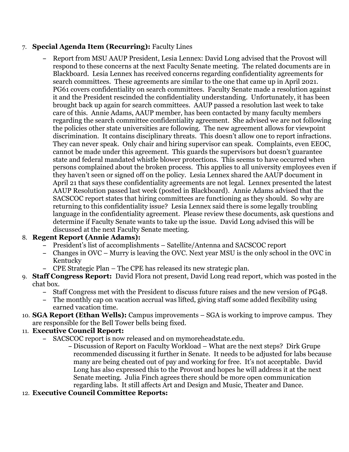## 7. **Special Agenda Item (Recurring):** Faculty Lines

**–** Report from MSU AAUP President, Lesia Lennex: David Long advised that the Provost will respond to these concerns at the next Faculty Senate meeting. The related documents are in Blackboard. Lesia Lennex has received concerns regarding confidentiality agreements for search committees. These agreements are similar to the one that came up in April 2021. PG61 covers confidentiality on search committees. Faculty Senate made a resolution against it and the President rescinded the confidentiality understanding. Unfortunately, it has been brought back up again for search committees. AAUP passed a resolution last week to take care of this. Annie Adams, AAUP member, has been contacted by many faculty members regarding the search committee confidentiality agreement. She advised we are not following the policies other state universities are following. The new agreement allows for viewpoint discrimination. It contains disciplinary threats. This doesn't allow one to report infractions. They can never speak. Only chair and hiring supervisor can speak. Complaints, even EEOC, cannot be made under this agreement. This guards the supervisors but doesn't guarantee state and federal mandated whistle blower protections. This seems to have occurred when persons complained about the broken process. This applies to all university employees even if they haven't seen or signed off on the policy. Lesia Lennex shared the AAUP document in April 21 that says these confidentiality agreements are not legal. Lennex presented the latest AAUP Resolution passed last week (posted in Blackboard). Annie Adams advised that the SACSCOC report states that hiring committees are functioning as they should. So why are returning to this confidentiality issue? Lesia Lennex said there is some legally troubling language in the confidentiality agreement. Please review these documents, ask questions and determine if Faculty Senate wants to take up the issue. David Long advised this will be discussed at the next Faculty Senate meeting.

## 8. **Regent Report (Annie Adams):**

- **–** President's list of accomplishments Satellite/Antenna and SACSCOC report
- **–** Changes in OVC Murry is leaving the OVC. Next year MSU is the only school in the OVC in Kentucky
- **–** CPE Strategic Plan The CPE has released its new strategic plan.
- 9. **Staff Congress Report:** David Flora not present, David Long read report, which was posted in the chat box.
	- **–** Staff Congress met with the President to discuss future raises and the new version of PG48.
	- **–** The monthly cap on vacation accrual was lifted, giving staff some added flexibility using earned vacation time.
- 10. **SGA Report (Ethan Wells):** Campus improvements SGA is working to improve campus. They are responsible for the Bell Tower bells being fixed.

## 11. **Executive Council Report:**

- **–** SACSCOC report is now released and on mymoreheadstate.edu.
	- **–** Discussion of Report on Faculty Workload What are the next steps? Dirk Grupe recommended discussing it further in Senate. It needs to be adjusted for labs because many are being cheated out of pay and working for free. It's not acceptable. David Long has also expressed this to the Provost and hopes he will address it at the next Senate meeting. Julia Finch agrees there should be more open communication regarding labs. It still affects Art and Design and Music, Theater and Dance.

## 12. **Executive Council Committee Reports:**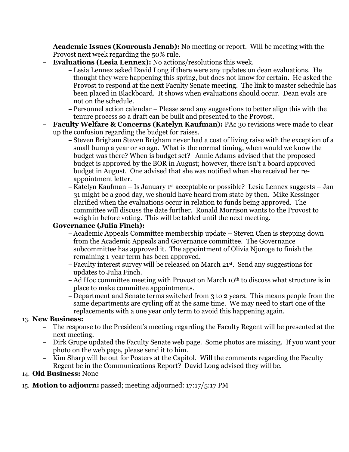- **– Academic Issues (Kouroush Jenab):** No meeting or report. Will be meeting with the Provost next week regarding the 50% rule.
- **– Evaluations (Lesia Lennex):** No actions/resolutions this week.
	- **–** Lesia Lennex asked David Long if there were any updates on dean evaluations. He thought they were happening this spring, but does not know for certain. He asked the Provost to respond at the next Faculty Senate meeting. The link to master schedule has been placed in Blackboard. It shows when evaluations should occur. Dean evals are not on the schedule.
	- **–** Personnel action calendar Please send any suggestions to better align this with the tenure process so a draft can be built and presented to the Provost.
- **– Faculty Welfare & Concerns (Katelyn Kaufman):** PAc 30 revisions were made to clear up the confusion regarding the budget for raises.
	- **–** Steven Brigham Steven Brigham never had a cost of living raise with the exception of a small bump a year or so ago. What is the normal timing, when would we know the budget was there? When is budget set? Annie Adams advised that the proposed budget is approved by the BOR in August; however, there isn't a board approved budget in August. One advised that she was notified when she received her reappointment letter.
	- **–** Katelyn Kaufman Is January 1st acceptable or possible? Lesia Lennex suggests Jan 31 might be a good day, we should have heard from state by then. Mike Kessinger clarified when the evaluations occur in relation to funds being approved. The committee will discuss the date further. Ronald Morrison wants to the Provost to weigh in before voting. This will be tabled until the next meeting.
- **– Governance (Julia Finch):**
	- **–** Academic Appeals Committee membership update Steven Chen is stepping down from the Academic Appeals and Governance committee. The Governance subcommittee has approved it. The appointment of Olivia Njoroge to finish the remaining 1-year term has been approved.
	- **–** Faculty interest survey will be released on March 21st. Send any suggestions for updates to Julia Finch.
	- **–** Ad Hoc committee meeting with Provost on March 10th to discuss what structure is in place to make committee appointments.
	- **–** Department and Senate terms switched from 3 to 2 years. This means people from the same departments are cycling off at the same time. We may need to start one of the replacements with a one year only term to avoid this happening again.

## 13. **New Business:**

- **–** The response to the President's meeting regarding the Faculty Regent will be presented at the next meeting.
- **–** Dirk Grupe updated the Faculty Senate web page. Some photos are missing. If you want your photo on the web page, please send it to him.
- **–** Kim Sharp will be out for Posters at the Capitol. Will the comments regarding the Faculty Regent be in the Communications Report? David Long advised they will be.

## 14. **Old Business:** None

## 15. **Motion to adjourn:** passed; meeting adjourned: 17:17/5:17 PM